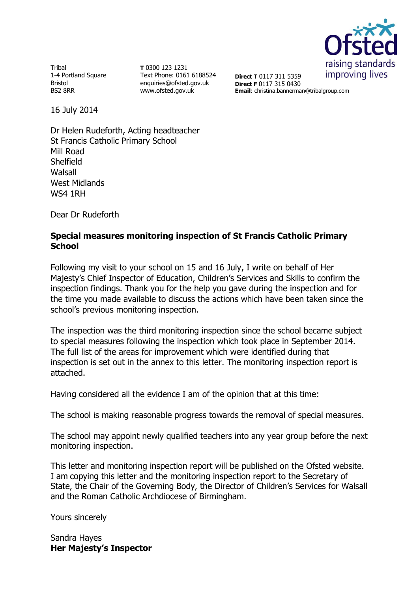

Tribal 1-4 Portland Square Bristol BS2 8RR

**T** 0300 123 1231 Text Phone: 0161 6188524 enquiries@ofsted.gov.uk www.ofsted.gov.uk

**Direct T** 0117 311 5359 **Direct F** 0117 315 0430 **Email**: christina.bannerman@tribalgroup.com

16 July 2014

Dr Helen Rudeforth, Acting headteacher St Francis Catholic Primary School Mill Road **Shelfield** Walsall West Midlands WS4 1RH

Dear Dr Rudeforth

#### **Special measures monitoring inspection of St Francis Catholic Primary School**

Following my visit to your school on 15 and 16 July, I write on behalf of Her Majesty's Chief Inspector of Education, Children's Services and Skills to confirm the inspection findings. Thank you for the help you gave during the inspection and for the time you made available to discuss the actions which have been taken since the school's previous monitoring inspection.

The inspection was the third monitoring inspection since the school became subject to special measures following the inspection which took place in September 2014. The full list of the areas for improvement which were identified during that inspection is set out in the annex to this letter. The monitoring inspection report is attached.

Having considered all the evidence I am of the opinion that at this time:

The school is making reasonable progress towards the removal of special measures.

The school may appoint newly qualified teachers into any year group before the next monitoring inspection.

This letter and monitoring inspection report will be published on the Ofsted website. I am copying this letter and the monitoring inspection report to the Secretary of State, the Chair of the Governing Body, the Director of Children's Services for Walsall and the Roman Catholic Archdiocese of Birmingham.

Yours sincerely

Sandra Hayes **Her Majesty's Inspector**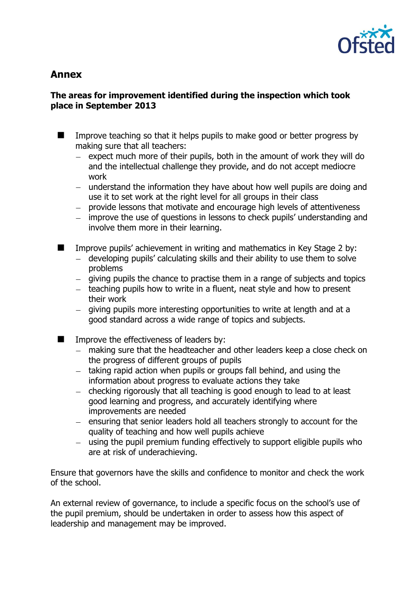

# **Annex**

## **The areas for improvement identified during the inspection which took place in September 2013**

Improve teaching so that it helps pupils to make good or better progress by  $\blacksquare$ making sure that all teachers:

- expect much more of their pupils, both in the amount of work they will do  $\equiv$ and the intellectual challenge they provide, and do not accept mediocre work
- understand the information they have about how well pupils are doing and use it to set work at the right level for all groups in their class
- provide lessons that motivate and encourage high levels of attentiveness
- improve the use of questions in lessons to check pupils' understanding and involve them more in their learning.
- $\blacksquare$ Improve pupils' achievement in writing and mathematics in Key Stage 2 by:
	- developing pupils' calculating skills and their ability to use them to solve  $\equiv$ problems
	- giving pupils the chance to practise them in a range of subjects and topics
	- $-$  teaching pupils how to write in a fluent, neat style and how to present their work
	- $-$  giving pupils more interesting opportunities to write at length and at a good standard across a wide range of topics and subjects.
	- Improve the effectiveness of leaders by:
		- making sure that the headteacher and other leaders keep a close check on  $\equiv$ the progress of different groups of pupils
		- taking rapid action when pupils or groups fall behind, and using the information about progress to evaluate actions they take
		- checking rigorously that all teaching is good enough to lead to at least  $\frac{1}{2}$ good learning and progress, and accurately identifying where improvements are needed
		- ensuring that senior leaders hold all teachers strongly to account for the quality of teaching and how well pupils achieve
		- $\equiv$ using the pupil premium funding effectively to support eligible pupils who are at risk of underachieving.

Ensure that governors have the skills and confidence to monitor and check the work of the school.

An external review of governance, to include a specific focus on the school's use of the pupil premium, should be undertaken in order to assess how this aspect of leadership and management may be improved.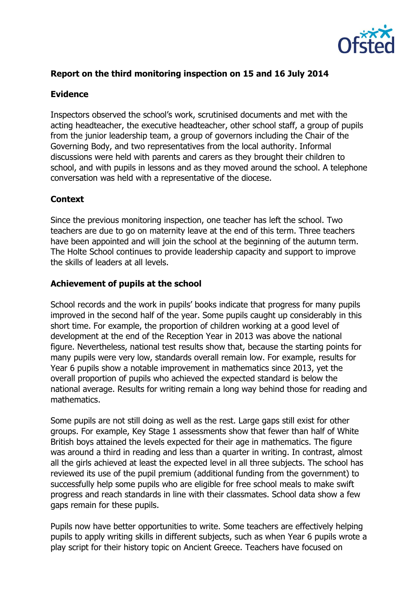

# **Report on the third monitoring inspection on 15 and 16 July 2014**

#### **Evidence**

Inspectors observed the school's work, scrutinised documents and met with the acting headteacher, the executive headteacher, other school staff, a group of pupils from the junior leadership team, a group of governors including the Chair of the Governing Body, and two representatives from the local authority. Informal discussions were held with parents and carers as they brought their children to school, and with pupils in lessons and as they moved around the school. A telephone conversation was held with a representative of the diocese.

#### **Context**

Since the previous monitoring inspection, one teacher has left the school. Two teachers are due to go on maternity leave at the end of this term. Three teachers have been appointed and will join the school at the beginning of the autumn term. The Holte School continues to provide leadership capacity and support to improve the skills of leaders at all levels.

#### **Achievement of pupils at the school**

School records and the work in pupils' books indicate that progress for many pupils improved in the second half of the year. Some pupils caught up considerably in this short time. For example, the proportion of children working at a good level of development at the end of the Reception Year in 2013 was above the national figure. Nevertheless, national test results show that, because the starting points for many pupils were very low, standards overall remain low. For example, results for Year 6 pupils show a notable improvement in mathematics since 2013, yet the overall proportion of pupils who achieved the expected standard is below the national average. Results for writing remain a long way behind those for reading and mathematics.

Some pupils are not still doing as well as the rest. Large gaps still exist for other groups. For example, Key Stage 1 assessments show that fewer than half of White British boys attained the levels expected for their age in mathematics. The figure was around a third in reading and less than a quarter in writing. In contrast, almost all the girls achieved at least the expected level in all three subjects. The school has reviewed its use of the pupil premium (additional funding from the government) to successfully help some pupils who are eligible for free school meals to make swift progress and reach standards in line with their classmates. School data show a few gaps remain for these pupils.

Pupils now have better opportunities to write. Some teachers are effectively helping pupils to apply writing skills in different subjects, such as when Year 6 pupils wrote a play script for their history topic on Ancient Greece. Teachers have focused on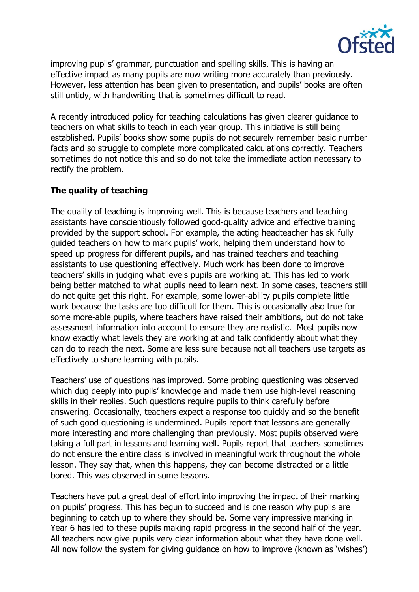

improving pupils' grammar, punctuation and spelling skills. This is having an effective impact as many pupils are now writing more accurately than previously. However, less attention has been given to presentation, and pupils' books are often still untidy, with handwriting that is sometimes difficult to read.

A recently introduced policy for teaching calculations has given clearer guidance to teachers on what skills to teach in each year group. This initiative is still being established. Pupils' books show some pupils do not securely remember basic number facts and so struggle to complete more complicated calculations correctly. Teachers sometimes do not notice this and so do not take the immediate action necessary to rectify the problem.

## **The quality of teaching**

The quality of teaching is improving well. This is because teachers and teaching assistants have conscientiously followed good-quality advice and effective training provided by the support school. For example, the acting headteacher has skilfully guided teachers on how to mark pupils' work, helping them understand how to speed up progress for different pupils, and has trained teachers and teaching assistants to use questioning effectively. Much work has been done to improve teachers' skills in judging what levels pupils are working at. This has led to work being better matched to what pupils need to learn next. In some cases, teachers still do not quite get this right. For example, some lower-ability pupils complete little work because the tasks are too difficult for them. This is occasionally also true for some more-able pupils, where teachers have raised their ambitions, but do not take assessment information into account to ensure they are realistic. Most pupils now know exactly what levels they are working at and talk confidently about what they can do to reach the next. Some are less sure because not all teachers use targets as effectively to share learning with pupils.

Teachers' use of questions has improved. Some probing questioning was observed which dug deeply into pupils' knowledge and made them use high-level reasoning skills in their replies. Such questions require pupils to think carefully before answering. Occasionally, teachers expect a response too quickly and so the benefit of such good questioning is undermined. Pupils report that lessons are generally more interesting and more challenging than previously. Most pupils observed were taking a full part in lessons and learning well. Pupils report that teachers sometimes do not ensure the entire class is involved in meaningful work throughout the whole lesson. They say that, when this happens, they can become distracted or a little bored. This was observed in some lessons.

Teachers have put a great deal of effort into improving the impact of their marking on pupils' progress. This has begun to succeed and is one reason why pupils are beginning to catch up to where they should be. Some very impressive marking in Year 6 has led to these pupils making rapid progress in the second half of the year. All teachers now give pupils very clear information about what they have done well. All now follow the system for giving guidance on how to improve (known as 'wishes')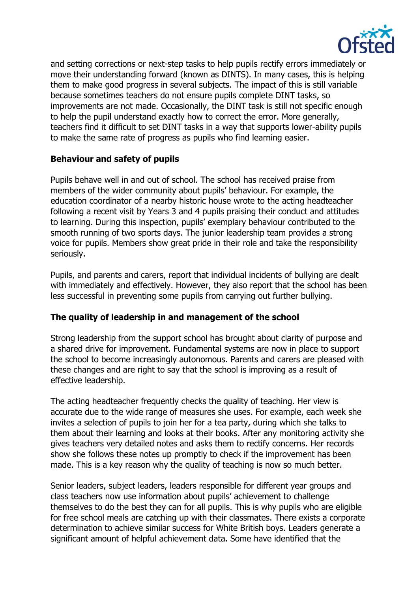

and setting corrections or next-step tasks to help pupils rectify errors immediately or move their understanding forward (known as DINTS). In many cases, this is helping them to make good progress in several subjects. The impact of this is still variable because sometimes teachers do not ensure pupils complete DINT tasks, so improvements are not made. Occasionally, the DINT task is still not specific enough to help the pupil understand exactly how to correct the error. More generally, teachers find it difficult to set DINT tasks in a way that supports lower-ability pupils to make the same rate of progress as pupils who find learning easier.

#### **Behaviour and safety of pupils**

Pupils behave well in and out of school. The school has received praise from members of the wider community about pupils' behaviour. For example, the education coordinator of a nearby historic house wrote to the acting headteacher following a recent visit by Years 3 and 4 pupils praising their conduct and attitudes to learning. During this inspection, pupils' exemplary behaviour contributed to the smooth running of two sports days. The junior leadership team provides a strong voice for pupils. Members show great pride in their role and take the responsibility seriously.

Pupils, and parents and carers, report that individual incidents of bullying are dealt with immediately and effectively. However, they also report that the school has been less successful in preventing some pupils from carrying out further bullying.

# **The quality of leadership in and management of the school**

Strong leadership from the support school has brought about clarity of purpose and a shared drive for improvement. Fundamental systems are now in place to support the school to become increasingly autonomous. Parents and carers are pleased with these changes and are right to say that the school is improving as a result of effective leadership.

The acting headteacher frequently checks the quality of teaching. Her view is accurate due to the wide range of measures she uses. For example, each week she invites a selection of pupils to join her for a tea party, during which she talks to them about their learning and looks at their books. After any monitoring activity she gives teachers very detailed notes and asks them to rectify concerns. Her records show she follows these notes up promptly to check if the improvement has been made. This is a key reason why the quality of teaching is now so much better.

Senior leaders, subject leaders, leaders responsible for different year groups and class teachers now use information about pupils' achievement to challenge themselves to do the best they can for all pupils. This is why pupils who are eligible for free school meals are catching up with their classmates. There exists a corporate determination to achieve similar success for White British boys. Leaders generate a significant amount of helpful achievement data. Some have identified that the